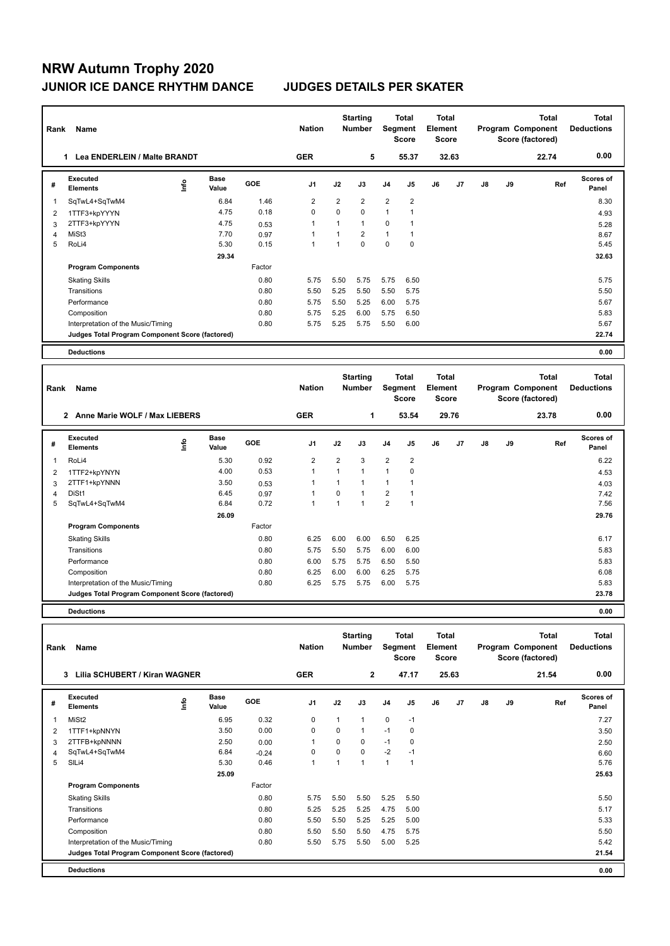## **NRW Autumn Trophy 2020 JUNIOR ICE DANCE RHYTHM DANCE JUDGES DETAILS PER SKATER**

| Rank           | Name                                            |      |                      |        | <b>Nation</b>  |                | <b>Starting</b><br><b>Number</b> |                | Total<br>Segment<br><b>Score</b> | Total<br>Element<br><b>Score</b> |       |                   |    | Total<br>Program Component<br>Score (factored) | Total<br><b>Deductions</b> |
|----------------|-------------------------------------------------|------|----------------------|--------|----------------|----------------|----------------------------------|----------------|----------------------------------|----------------------------------|-------|-------------------|----|------------------------------------------------|----------------------------|
|                | 1 Lea ENDERLEIN / Malte BRANDT                  |      |                      |        | <b>GER</b>     |                | 5                                |                | 55.37                            |                                  | 32.63 |                   |    | 22.74                                          | 0.00                       |
| #              | <b>Executed</b><br><b>Elements</b>              | ١nf٥ | <b>Base</b><br>Value | GOE    | J <sub>1</sub> | J2             | J3                               | J <sub>4</sub> | J5                               | J6                               | J7    | J8                | J9 | Ref                                            | Scores of<br>Panel         |
| $\mathbf{1}$   | SqTwL4+SqTwM4                                   |      | 6.84                 | 1.46   | $\overline{2}$ | $\overline{2}$ | $\overline{2}$                   | 2              | $\overline{2}$                   |                                  |       |                   |    |                                                | 8.30                       |
| $\overline{2}$ | 1TTF3+kpYYYN                                    |      | 4.75                 | 0.18   | $\Omega$       | $\Omega$       | $\Omega$                         | $\mathbf{1}$   | 1                                |                                  |       |                   |    |                                                | 4.93                       |
| 3              | 2TTF3+kpYYYN                                    |      | 4.75                 | 0.53   | $\overline{1}$ | 1              | $\mathbf{1}$                     | $\mathbf 0$    | 1                                |                                  |       |                   |    |                                                | 5.28                       |
| 4              | MiSt3                                           |      | 7.70                 | 0.97   | $\mathbf{1}$   | $\mathbf{1}$   | $\overline{2}$                   | $\mathbf{1}$   | $\mathbf{1}$                     |                                  |       |                   |    |                                                | 8.67                       |
| 5              | RoLi4                                           |      | 5.30                 | 0.15   | $\overline{1}$ | $\mathbf{1}$   | $\Omega$                         | 0              | $\mathbf 0$                      |                                  |       |                   |    |                                                | 5.45                       |
|                |                                                 |      | 29.34                |        |                |                |                                  |                |                                  |                                  |       |                   |    |                                                | 32.63                      |
|                | <b>Program Components</b>                       |      |                      | Factor |                |                |                                  |                |                                  |                                  |       |                   |    |                                                |                            |
|                | <b>Skating Skills</b>                           |      |                      | 0.80   | 5.75           | 5.50           | 5.75                             | 5.75           | 6.50                             |                                  |       |                   |    |                                                | 5.75                       |
|                | Transitions                                     |      |                      | 0.80   | 5.50           | 5.25           | 5.50                             | 5.50           | 5.75                             |                                  |       |                   |    |                                                | 5.50                       |
|                | Performance                                     |      |                      | 0.80   | 5.75           | 5.50           | 5.25                             | 6.00           | 5.75                             |                                  |       |                   |    |                                                | 5.67                       |
|                | Composition                                     |      |                      | 0.80   | 5.75           | 5.25           | 6.00                             | 5.75           | 6.50                             |                                  |       |                   |    |                                                | 5.83                       |
|                | Interpretation of the Music/Timing              |      |                      | 0.80   | 5.75           | 5.25           | 5.75                             | 5.50           | 6.00                             |                                  |       |                   |    |                                                | 5.67                       |
|                | Judges Total Program Component Score (factored) |      |                      |        |                |                |                                  |                |                                  |                                  |       |                   |    |                                                | 22.74                      |
|                | <b>Deductions</b>                               |      |                      |        |                |                |                                  |                |                                  |                                  |       |                   |    |                                                | 0.00                       |
|                |                                                 |      |                      |        |                |                |                                  |                |                                  |                                  |       |                   |    |                                                |                            |
|                |                                                 |      |                      |        |                |                | <b>Starting</b>                  |                | <b>Total</b>                     | <b>Total</b>                     |       |                   |    | <b>Total</b>                                   | <b>Total</b>               |
| Rank           | Name                                            |      |                      |        | <b>Nation</b>  | <b>Number</b>  |                                  | Segment        |                                  | Element                          |       | Program Component |    |                                                | <b>Deductions</b>          |
|                |                                                 |      |                      |        |                |                |                                  |                | <b>Score</b>                     | <b>Score</b>                     |       |                   |    | Score (factored)                               |                            |
|                | 2 Anne Marie WOLF / Max LIEBERS                 |      |                      |        | <b>GER</b>     |                | 1                                |                | 53.54                            |                                  | 29.76 |                   |    | 23.78                                          | 0.00                       |
| #              | Executed<br><b>Elements</b>                     | lnfo | Base<br>Value        | GOE    | J1             | J2             | J3                               | J <sub>4</sub> | J5                               | J6                               | J7    | J8                | J9 | Ref                                            | Scores of<br>Panel         |
| 1              | RoLi4                                           |      | 5.30                 | 0.92   | $\overline{2}$ | 2              | 3                                | $\overline{2}$ | $\overline{2}$                   |                                  |       |                   |    |                                                | 6.22                       |
| 2              | 1TTF2+kpYNYN                                    |      | 4.00                 | 0.53   | $\mathbf{1}$   | $\mathbf{1}$   | $\mathbf{1}$                     | $\mathbf{1}$   | $\mathbf 0$                      |                                  |       |                   |    |                                                | 4.53                       |
| 3              | 2TTF1+kpYNNN                                    |      | 3.50                 | 0.53   | $\mathbf{1}$   | $\mathbf{1}$   | $\mathbf{1}$                     | $\mathbf{1}$   | $\mathbf{1}$                     |                                  |       |                   |    |                                                | 4.03                       |
| 4              | DiSt1                                           |      | 6.45                 | 0.97   | $\mathbf{1}$   | $\mathbf 0$    | $\mathbf{1}$                     | 2              | $\mathbf{1}$                     |                                  |       |                   |    |                                                | 7.42                       |
| 5              | SqTwL4+SqTwM4                                   |      | 6.84                 | 0.72   | $\mathbf{1}$   | $\mathbf{1}$   | $\mathbf{1}$                     | $\overline{2}$ | $\mathbf{1}$                     |                                  |       |                   |    |                                                | 7.56                       |
|                |                                                 |      | 26.09                |        |                |                |                                  |                |                                  |                                  |       |                   |    |                                                | 29.76                      |
|                | <b>Program Components</b>                       |      |                      | Factor |                |                |                                  |                |                                  |                                  |       |                   |    |                                                |                            |

|                                                 | $\sim\,$     |      |      |      |      |      | .     |  |
|-------------------------------------------------|--------------|------|------|------|------|------|-------|--|
| 5 SqTwL4+SqTwM4                                 | 0.72<br>6.84 |      |      |      | 2    |      | 7.56  |  |
|                                                 | 26.09        |      |      |      |      |      | 29.76 |  |
| <b>Program Components</b>                       | Factor       |      |      |      |      |      |       |  |
| <b>Skating Skills</b>                           | 0.80         | 6.25 | 6.00 | 6.00 | 6.50 | 6.25 | 6.17  |  |
| Transitions                                     | 0.80         | 5.75 | 5.50 | 5.75 | 6.00 | 6.00 | 5.83  |  |
| Performance                                     | 0.80         | 6.00 | 5.75 | 5.75 | 6.50 | 5.50 | 5.83  |  |
| Composition                                     | 0.80         | 6.25 | 6.00 | 6.00 | 6.25 | 5.75 | 6.08  |  |
| Interpretation of the Music/Timing              | 0.80         | 6.25 | 5.75 | 5.75 | 6.00 | 5.75 | 5.83  |  |
| Judges Total Program Component Score (factored) |              |      |      |      |      |      | 23.78 |  |
|                                                 |              |      |      |      |      |      |       |  |

**Deductions 0.00**

| Rank | Name                                            |                |                      |         | <b>Nation</b>  |          | <b>Starting</b><br><b>Number</b> |                | Total<br>Segment<br><b>Score</b> | <b>Total</b><br>Element<br><b>Score</b> |       |    |    | Total<br>Program Component<br>Score (factored) | <b>Total</b><br><b>Deductions</b> |
|------|-------------------------------------------------|----------------|----------------------|---------|----------------|----------|----------------------------------|----------------|----------------------------------|-----------------------------------------|-------|----|----|------------------------------------------------|-----------------------------------|
|      | Lilia SCHUBERT / Kiran WAGNER<br>3              |                |                      |         | <b>GER</b>     |          | $\mathbf{2}$                     |                | 47.17                            |                                         | 25.63 |    |    | 21.54                                          | 0.00                              |
| #    | Executed<br><b>Elements</b>                     | $\frac{6}{10}$ | <b>Base</b><br>Value | GOE     | J <sub>1</sub> | J2       | J3                               | J <sub>4</sub> | J <sub>5</sub>                   | J6                                      | J7    | J8 | J9 | Ref                                            | Scores of<br>Panel                |
| 1    | MiSt <sub>2</sub>                               |                | 6.95                 | 0.32    | 0              | 1        | 1                                | 0              | $-1$                             |                                         |       |    |    |                                                | 7.27                              |
| 2    | 1TTF1+kpNNYN                                    |                | 3.50                 | 0.00    | 0              | $\Omega$ | $\mathbf 1$                      | $-1$           | $\mathbf 0$                      |                                         |       |    |    |                                                | 3.50                              |
| 3    | 2TTFB+kpNNNN                                    |                | 2.50                 | 0.00    | 1              | $\Omega$ | 0                                | $-1$           | 0                                |                                         |       |    |    |                                                | 2.50                              |
| 4    | SqTwL4+SqTwM4                                   |                | 6.84                 | $-0.24$ | 0              | 0        | 0                                | $-2$           | $-1$                             |                                         |       |    |    |                                                | 6.60                              |
| 5    | SILi4                                           |                | 5.30                 | 0.46    | $\mathbf{1}$   | 1        | 1                                | $\mathbf{1}$   | -1                               |                                         |       |    |    |                                                | 5.76                              |
|      |                                                 |                | 25.09                |         |                |          |                                  |                |                                  |                                         |       |    |    |                                                | 25.63                             |
|      | <b>Program Components</b>                       |                |                      | Factor  |                |          |                                  |                |                                  |                                         |       |    |    |                                                |                                   |
|      | <b>Skating Skills</b>                           |                |                      | 0.80    | 5.75           | 5.50     | 5.50                             | 5.25           | 5.50                             |                                         |       |    |    |                                                | 5.50                              |
|      | Transitions                                     |                |                      | 0.80    | 5.25           | 5.25     | 5.25                             | 4.75           | 5.00                             |                                         |       |    |    |                                                | 5.17                              |
|      | Performance                                     |                |                      | 0.80    | 5.50           | 5.50     | 5.25                             | 5.25           | 5.00                             |                                         |       |    |    |                                                | 5.33                              |
|      | Composition                                     |                |                      | 0.80    | 5.50           | 5.50     | 5.50                             | 4.75           | 5.75                             |                                         |       |    |    |                                                | 5.50                              |
|      | Interpretation of the Music/Timing              |                |                      | 0.80    | 5.50           | 5.75     | 5.50                             | 5.00           | 5.25                             |                                         |       |    |    |                                                | 5.42                              |
|      | Judges Total Program Component Score (factored) |                |                      |         |                |          |                                  |                |                                  |                                         |       |    |    |                                                | 21.54                             |
|      | <b>Deductions</b>                               |                |                      |         |                |          |                                  |                |                                  |                                         |       |    |    |                                                | 0.00                              |